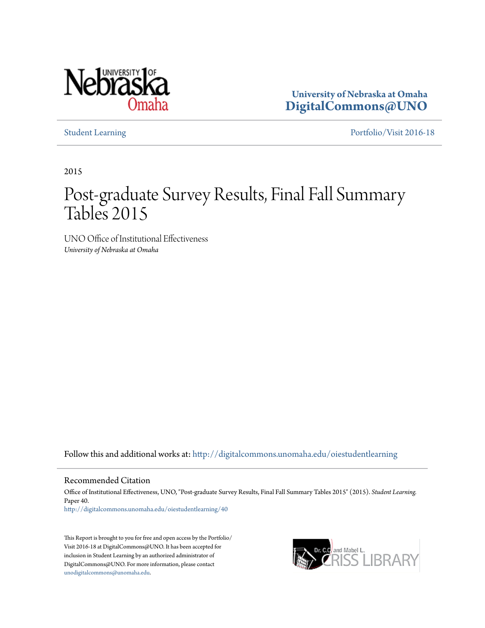

**University of Nebraska at Omaha [DigitalCommons@UNO](http://digitalcommons.unomaha.edu?utm_source=digitalcommons.unomaha.edu%2Foiestudentlearning%2F40&utm_medium=PDF&utm_campaign=PDFCoverPages)**

[Student Learning](http://digitalcommons.unomaha.edu/oiestudentlearning?utm_source=digitalcommons.unomaha.edu%2Foiestudentlearning%2F40&utm_medium=PDF&utm_campaign=PDFCoverPages) [Portfolio/Visit 2016-18](http://digitalcommons.unomaha.edu/oieportfolio?utm_source=digitalcommons.unomaha.edu%2Foiestudentlearning%2F40&utm_medium=PDF&utm_campaign=PDFCoverPages)

2015

## Post-graduate Survey Results, Final Fall Summary Tables 2015

UNO Office of Institutional Effectiveness *University of Nebraska at Omaha*

Follow this and additional works at: [http://digitalcommons.unomaha.edu/oiestudentlearning](http://digitalcommons.unomaha.edu/oiestudentlearning?utm_source=digitalcommons.unomaha.edu%2Foiestudentlearning%2F40&utm_medium=PDF&utm_campaign=PDFCoverPages)

Recommended Citation

Office of Institutional Effectiveness, UNO, "Post-graduate Survey Results, Final Fall Summary Tables 2015" (2015). *Student Learning.* Paper 40.

[http://digitalcommons.unomaha.edu/oiestudentlearning/40](http://digitalcommons.unomaha.edu/oiestudentlearning/40?utm_source=digitalcommons.unomaha.edu%2Foiestudentlearning%2F40&utm_medium=PDF&utm_campaign=PDFCoverPages)

This Report is brought to you for free and open access by the Portfolio/ Visit 2016-18 at DigitalCommons@UNO. It has been accepted for inclusion in Student Learning by an authorized administrator of DigitalCommons@UNO. For more information, please contact [unodigitalcommons@unomaha.edu](mailto:unodigitalcommons@unomaha.edu).

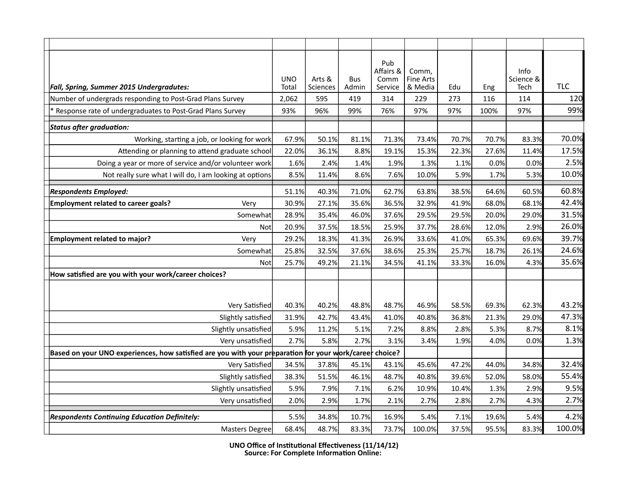| Fall, Spring, Summer 2015 Undergradutes:                                                                | <b>UNO</b><br>Total | Arts &<br>Sciences | <b>Bus</b><br>Admin | Pub<br>Affairs &<br>Comm<br>Service | Comm,<br><b>Fine Arts</b><br>& Media | Edu   | Eng   | Info<br>Science &<br>Tech | <b>TLC</b> |
|---------------------------------------------------------------------------------------------------------|---------------------|--------------------|---------------------|-------------------------------------|--------------------------------------|-------|-------|---------------------------|------------|
| Number of undergrads responding to Post-Grad Plans Survey                                               | 2,062               | 595                | 419                 | 314                                 | 229                                  | 273   | 116   | 114                       | 120        |
| Response rate of undergraduates to Post-Grad Plans Survey                                               | 93%                 | 96%                | 99%                 | 76%                                 | 97%                                  | 97%   | 100%  | 97%                       | 99%        |
| Status after graduation:                                                                                |                     |                    |                     |                                     |                                      |       |       |                           |            |
| Working, starting a job, or looking for work                                                            | 67.9%               | 50.1%              | 81.1%               | 71.3%                               | 73.4%                                | 70.7% | 70.7% | 83.3%                     | 70.0%      |
| Attending or planning to attend graduate school                                                         | 22.0%               | 36.1%              | 8.8%                | 19.1%                               | 15.3%                                | 22.3% | 27.6% | 11.4%                     | 17.5%      |
| Doing a year or more of service and/or volunteer work                                                   | 1.6%                | 2.4%               | 1.4%                | 1.9%                                | 1.3%                                 | 1.1%  | 0.0%  | 0.0%                      | 2.5%       |
| Not really sure what I will do, I am looking at options                                                 | 8.5%                | 11.4%              | 8.6%                | 7.6%                                | 10.0%                                | 5.9%  | 1.7%  | 5.3%                      | 10.0%      |
| <b>Respondents Employed:</b>                                                                            | 51.1%               | 40.3%              | 71.0%               | 62.7%                               | 63.8%                                | 38.5% | 64.6% | 60.5%                     | 60.8%      |
| Employment related to career goals?<br>Very                                                             | 30.9%               | 27.1%              | 35.6%               | 36.5%                               | 32.9%                                | 41.9% | 68.0% | 68.1%                     | 42.4%      |
| Somewhat                                                                                                | 28.9%               | 35.4%              | 46.0%               | 37.6%                               | 29.5%                                | 29.5% | 20.0% | 29.0%                     | 31.5%      |
| Not                                                                                                     | 20.9%               | 37.5%              | 18.5%               | 25.9%                               | 37.7%                                | 28.6% | 12.0% | 2.9%                      | 26.0%      |
| <b>Employment related to major?</b><br>Very                                                             | 29.2%               | 18.3%              | 41.3%               | 26.9%                               | 33.6%                                | 41.0% | 65.3% | 69.6%                     | 39.7%      |
| Somewhat                                                                                                | 25.8%               | 32.5%              | 37.6%               | 38.6%                               | 25.3%                                | 25.7% | 18.7% | 26.1%                     | 24.6%      |
| Not                                                                                                     | 25.7%               | 49.2%              | 21.1%               | 34.5%                               | 41.1%                                | 33.3% | 16.0% | 4.3%                      | 35.6%      |
| How satisfied are you with your work/career choices?                                                    |                     |                    |                     |                                     |                                      |       |       |                           |            |
|                                                                                                         |                     |                    |                     |                                     |                                      |       |       |                           |            |
| Very Satisfied                                                                                          | 40.3%               | 40.2%              | 48.8%               | 48.7%                               | 46.9%                                | 58.5% | 69.3% | 62.3%                     | 43.2%      |
| Slightly satisfied                                                                                      | 31.9%               | 42.7%              | 43.4%               | 41.0%                               | 40.8%                                | 36.8% | 21.3% | 29.0%                     | 47.3%      |
| Slightly unsatisfied                                                                                    | 5.9%                | 11.2%              | 5.1%                | 7.2%                                | 8.8%                                 | 2.8%  | 5.3%  | 8.7%                      | 8.1%       |
| Very unsatisfied                                                                                        | 2.7%                | 5.8%               | 2.7%                | 3.1%                                | 3.4%                                 | 1.9%  | 4.0%  | 0.0%                      | 1.3%       |
| Based on your UNO experiences, how satisfied are you with your preparation for your work/career choice? |                     |                    |                     |                                     |                                      |       |       |                           |            |
| Very Satisfied                                                                                          | 34.5%               | 37.8%              | 45.1%               | 43.1%                               | 45.6%                                | 47.2% | 44.0% | 34.8%                     | 32.4%      |
| Slightly satisfied                                                                                      | 38.3%               | 51.5%              | 46.1%               | 48.7%                               | 40.8%                                | 39.6% | 52.0% | 58.0%                     | 55.4%      |
| Slightly unsatisfied                                                                                    | 5.9%                | 7.9%               | 7.1%                | 6.2%                                | 10.9%                                | 10.4% | 1.3%  | 2.9%                      | 9.5%       |
| Very unsatisfied                                                                                        | 2.0%                | 2.9%               | 1.7%                | 2.1%                                | 2.7%                                 | 2.8%  | 2.7%  | 4.3%                      | 2.7%       |
| <b>Respondents Continuing Education Definitely:</b>                                                     | 5.5%                | 34.8%              | 10.7%               | 16.9%                               | 5.4%                                 | 7.1%  | 19.6% | 5.4%                      | 4.2%       |
| <b>Masters Degree</b>                                                                                   | 68.4%               | 48.7%              | 83.3%               | 73.7%                               | 100.0%                               | 37.5% | 95.5% | 83.3%                     | 100.0%     |

**UNO Office of Institutional Effectiveness (11/14/12) Source: For Complete Information Online:**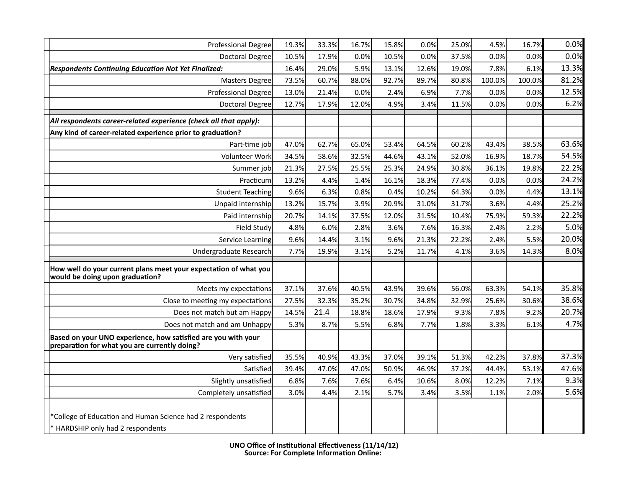| <b>Professional Degree</b>                                                                                     | 19.3% | 33.3% | 16.7% | 15.8% | 0.0%  | 25.0% | 4.5%   | 16.7%  | 0.0%  |
|----------------------------------------------------------------------------------------------------------------|-------|-------|-------|-------|-------|-------|--------|--------|-------|
| <b>Doctoral Degree</b>                                                                                         | 10.5% | 17.9% | 0.0%  | 10.5% | 0.0%  | 37.5% | 0.0%   | 0.0%   | 0.0%  |
| <b>Respondents Continuing Education Not Yet Finalized:</b>                                                     | 16.4% | 29.0% | 5.9%  | 13.1% | 12.6% | 19.0% | 7.8%   | 6.1%   | 13.3% |
| <b>Masters Degree</b>                                                                                          | 73.5% | 60.7% | 88.0% | 92.7% | 89.7% | 80.8% | 100.0% | 100.0% | 81.2% |
| <b>Professional Degree</b>                                                                                     | 13.0% | 21.4% | 0.0%  | 2.4%  | 6.9%  | 7.7%  | 0.0%   | 0.0%   | 12.5% |
| <b>Doctoral Degree</b>                                                                                         | 12.7% | 17.9% | 12.0% | 4.9%  | 3.4%  | 11.5% | 0.0%   | 0.0%   | 6.2%  |
| All respondents career-related experience (check all that apply):                                              |       |       |       |       |       |       |        |        |       |
| Any kind of career-related experience prior to graduation?                                                     |       |       |       |       |       |       |        |        |       |
| Part-time job                                                                                                  | 47.0% | 62.7% | 65.0% | 53.4% | 64.5% | 60.2% | 43.4%  | 38.5%  | 63.6% |
| Volunteer Work                                                                                                 | 34.5% | 58.6% | 32.5% | 44.6% | 43.1% | 52.0% | 16.9%  | 18.7%  | 54.5% |
| Summer job                                                                                                     | 21.3% | 27.5% | 25.5% | 25.3% | 24.9% | 30.8% | 36.1%  | 19.8%  | 22.2% |
| Practicum                                                                                                      | 13.2% | 4.4%  | 1.4%  | 16.1% | 18.3% | 77.4% | 0.0%   | 0.0%   | 24.2% |
| <b>Student Teaching</b>                                                                                        | 9.6%  | 6.3%  | 0.8%  | 0.4%  | 10.2% | 64.3% | 0.0%   | 4.4%   | 13.1% |
| Unpaid internship                                                                                              | 13.2% | 15.7% | 3.9%  | 20.9% | 31.0% | 31.7% | 3.6%   | 4.4%   | 25.2% |
| Paid internship                                                                                                | 20.7% | 14.1% | 37.5% | 12.0% | 31.5% | 10.4% | 75.9%  | 59.3%  | 22.2% |
| <b>Field Study</b>                                                                                             | 4.8%  | 6.0%  | 2.8%  | 3.6%  | 7.6%  | 16.3% | 2.4%   | 2.2%   | 5.0%  |
| Service Learning                                                                                               | 9.6%  | 14.4% | 3.1%  | 9.6%  | 21.3% | 22.2% | 2.4%   | 5.5%   | 20.0% |
| Undergraduate Research                                                                                         | 7.7%  | 19.9% | 3.1%  | 5.2%  | 11.7% | 4.1%  | 3.6%   | 14.3%  | 8.0%  |
| How well do your current plans meet your expectation of what you<br>would be doing upon graduation?            |       |       |       |       |       |       |        |        |       |
| Meets my expectations                                                                                          | 37.1% | 37.6% | 40.5% | 43.9% | 39.6% | 56.0% | 63.3%  | 54.1%  | 35.8% |
| Close to meeting my expectations                                                                               | 27.5% | 32.3% | 35.2% | 30.7% | 34.8% | 32.9% | 25.6%  | 30.6%  | 38.6% |
| Does not match but am Happy                                                                                    | 14.5% | 21.4  | 18.8% | 18.6% | 17.9% | 9.3%  | 7.8%   | 9.2%   | 20.7% |
| Does not match and am Unhappy                                                                                  | 5.3%  | 8.7%  | 5.5%  | 6.8%  | 7.7%  | 1.8%  | 3.3%   | 6.1%   | 4.7%  |
| Based on your UNO experience, how satisfied are you with your<br>preparation for what you are currently doing? |       |       |       |       |       |       |        |        |       |
| Very satisfied                                                                                                 | 35.5% | 40.9% | 43.3% | 37.0% | 39.1% | 51.3% | 42.2%  | 37.8%  | 37.3% |
| Satisfied                                                                                                      | 39.4% | 47.0% | 47.0% | 50.9% | 46.9% | 37.2% | 44.4%  | 53.1%  | 47.6% |
| Slightly unsatisfied                                                                                           | 6.8%  | 7.6%  | 7.6%  | 6.4%  | 10.6% | 8.0%  | 12.2%  | 7.1%   | 9.3%  |
| Completely unsatisfied                                                                                         | 3.0%  | 4.4%  | 2.1%  | 5.7%  | 3.4%  | 3.5%  | 1.1%   | 2.0%   | 5.6%  |
| *College of Education and Human Science had 2 respondents                                                      |       |       |       |       |       |       |        |        |       |
| HARDSHIP only had 2 respondents                                                                                |       |       |       |       |       |       |        |        |       |
|                                                                                                                |       |       |       |       |       |       |        |        |       |

**UNO Office of Institutional Effectiveness (11/14/12) Source: For Complete Information Online:**